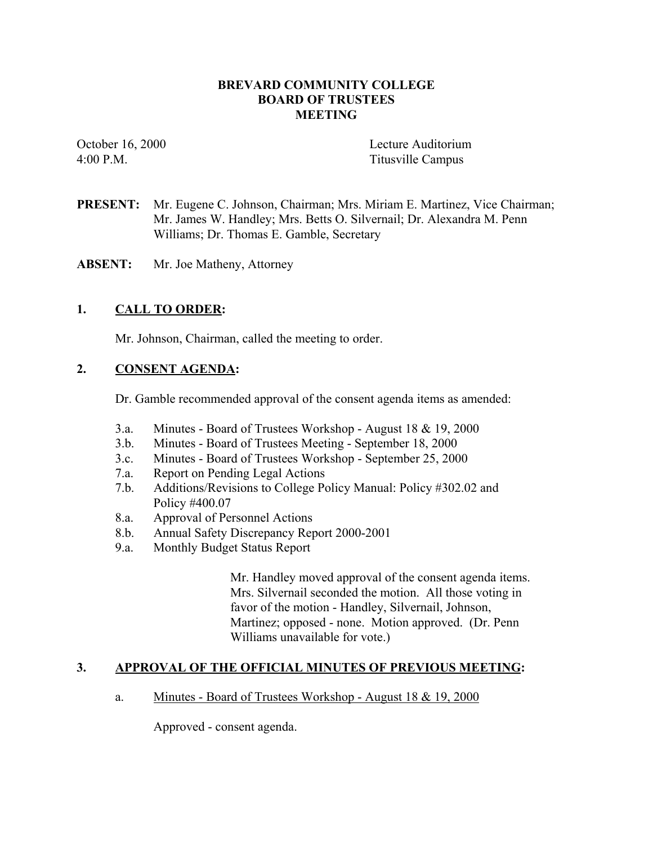# **BREVARD COMMUNITY COLLEGE BOARD OF TRUSTEES MEETING**

October 16, 2000 Lecture Auditorium 4:00 P.M. Titusville Campus

- **PRESENT:** Mr. Eugene C. Johnson, Chairman; Mrs. Miriam E. Martinez, Vice Chairman; Mr. James W. Handley; Mrs. Betts O. Silvernail; Dr. Alexandra M. Penn Williams; Dr. Thomas E. Gamble, Secretary
- **ABSENT:** Mr. Joe Matheny, Attorney

# **1. CALL TO ORDER:**

Mr. Johnson, Chairman, called the meeting to order.

#### **2. CONSENT AGENDA:**

Dr. Gamble recommended approval of the consent agenda items as amended:

- 3.a. Minutes Board of Trustees Workshop August 18 & 19, 2000
- 3.b. Minutes Board of Trustees Meeting September 18, 2000
- 3.c. Minutes Board of Trustees Workshop September 25, 2000
- 7.a. Report on Pending Legal Actions
- 7.b. Additions/Revisions to College Policy Manual: Policy #302.02 and Policy #400.07
- 8.a. Approval of Personnel Actions
- 8.b. Annual Safety Discrepancy Report 2000-2001
- 9.a. Monthly Budget Status Report

Mr. Handley moved approval of the consent agenda items. Mrs. Silvernail seconded the motion. All those voting in favor of the motion - Handley, Silvernail, Johnson, Martinez; opposed - none. Motion approved. (Dr. Penn Williams unavailable for vote.)

#### **3. APPROVAL OF THE OFFICIAL MINUTES OF PREVIOUS MEETING:**

#### a. Minutes - Board of Trustees Workshop - August 18 & 19, 2000

Approved - consent agenda.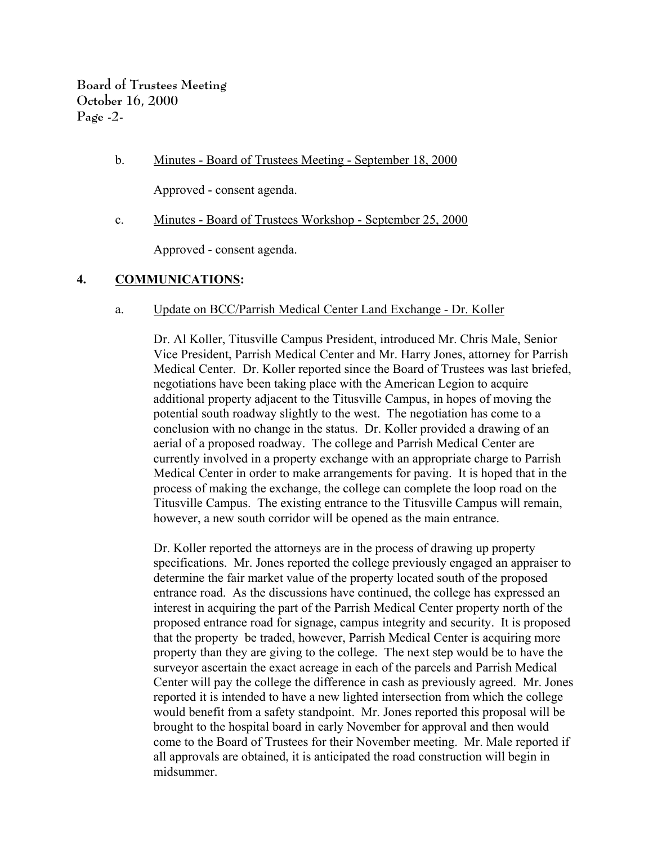b. Minutes - Board of Trustees Meeting - September 18, 2000

Approved - consent agenda.

c. Minutes - Board of Trustees Workshop - September 25, 2000

Approved - consent agenda.

# **4. COMMUNICATIONS:**

#### a. Update on BCC/Parrish Medical Center Land Exchange - Dr. Koller

Dr. Al Koller, Titusville Campus President, introduced Mr. Chris Male, Senior Vice President, Parrish Medical Center and Mr. Harry Jones, attorney for Parrish Medical Center. Dr. Koller reported since the Board of Trustees was last briefed, negotiations have been taking place with the American Legion to acquire additional property adjacent to the Titusville Campus, in hopes of moving the potential south roadway slightly to the west. The negotiation has come to a conclusion with no change in the status. Dr. Koller provided a drawing of an aerial of a proposed roadway. The college and Parrish Medical Center are currently involved in a property exchange with an appropriate charge to Parrish Medical Center in order to make arrangements for paving. It is hoped that in the process of making the exchange, the college can complete the loop road on the Titusville Campus. The existing entrance to the Titusville Campus will remain, however, a new south corridor will be opened as the main entrance.

Dr. Koller reported the attorneys are in the process of drawing up property specifications. Mr. Jones reported the college previously engaged an appraiser to determine the fair market value of the property located south of the proposed entrance road. As the discussions have continued, the college has expressed an interest in acquiring the part of the Parrish Medical Center property north of the proposed entrance road for signage, campus integrity and security. It is proposed that the property be traded, however, Parrish Medical Center is acquiring more property than they are giving to the college. The next step would be to have the surveyor ascertain the exact acreage in each of the parcels and Parrish Medical Center will pay the college the difference in cash as previously agreed. Mr. Jones reported it is intended to have a new lighted intersection from which the college would benefit from a safety standpoint. Mr. Jones reported this proposal will be brought to the hospital board in early November for approval and then would come to the Board of Trustees for their November meeting. Mr. Male reported if all approvals are obtained, it is anticipated the road construction will begin in midsummer.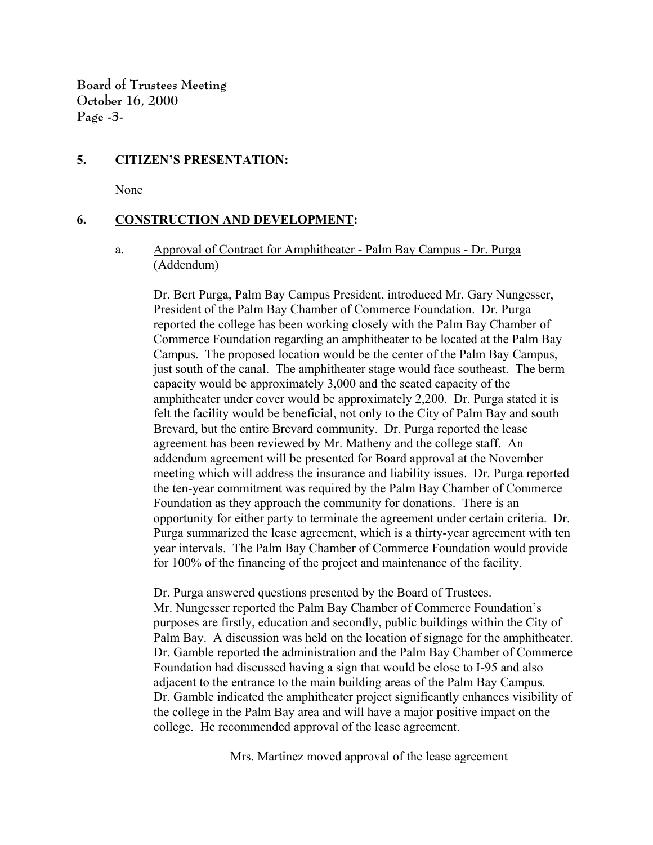**Board of Trustees Meeting October 16, 2000 Page -3-**

# **5. CITIZEN'S PRESENTATION:**

None

# **6. CONSTRUCTION AND DEVELOPMENT:**

#### a. Approval of Contract for Amphitheater - Palm Bay Campus - Dr. Purga (Addendum)

Dr. Bert Purga, Palm Bay Campus President, introduced Mr. Gary Nungesser, President of the Palm Bay Chamber of Commerce Foundation. Dr. Purga reported the college has been working closely with the Palm Bay Chamber of Commerce Foundation regarding an amphitheater to be located at the Palm Bay Campus. The proposed location would be the center of the Palm Bay Campus, just south of the canal. The amphitheater stage would face southeast. The berm capacity would be approximately 3,000 and the seated capacity of the amphitheater under cover would be approximately 2,200. Dr. Purga stated it is felt the facility would be beneficial, not only to the City of Palm Bay and south Brevard, but the entire Brevard community. Dr. Purga reported the lease agreement has been reviewed by Mr. Matheny and the college staff. An addendum agreement will be presented for Board approval at the November meeting which will address the insurance and liability issues. Dr. Purga reported the ten-year commitment was required by the Palm Bay Chamber of Commerce Foundation as they approach the community for donations. There is an opportunity for either party to terminate the agreement under certain criteria. Dr. Purga summarized the lease agreement, which is a thirty-year agreement with ten year intervals. The Palm Bay Chamber of Commerce Foundation would provide for 100% of the financing of the project and maintenance of the facility.

Dr. Purga answered questions presented by the Board of Trustees. Mr. Nungesser reported the Palm Bay Chamber of Commerce Foundation's purposes are firstly, education and secondly, public buildings within the City of Palm Bay. A discussion was held on the location of signage for the amphitheater. Dr. Gamble reported the administration and the Palm Bay Chamber of Commerce Foundation had discussed having a sign that would be close to I-95 and also adjacent to the entrance to the main building areas of the Palm Bay Campus. Dr. Gamble indicated the amphitheater project significantly enhances visibility of the college in the Palm Bay area and will have a major positive impact on the college. He recommended approval of the lease agreement.

Mrs. Martinez moved approval of the lease agreement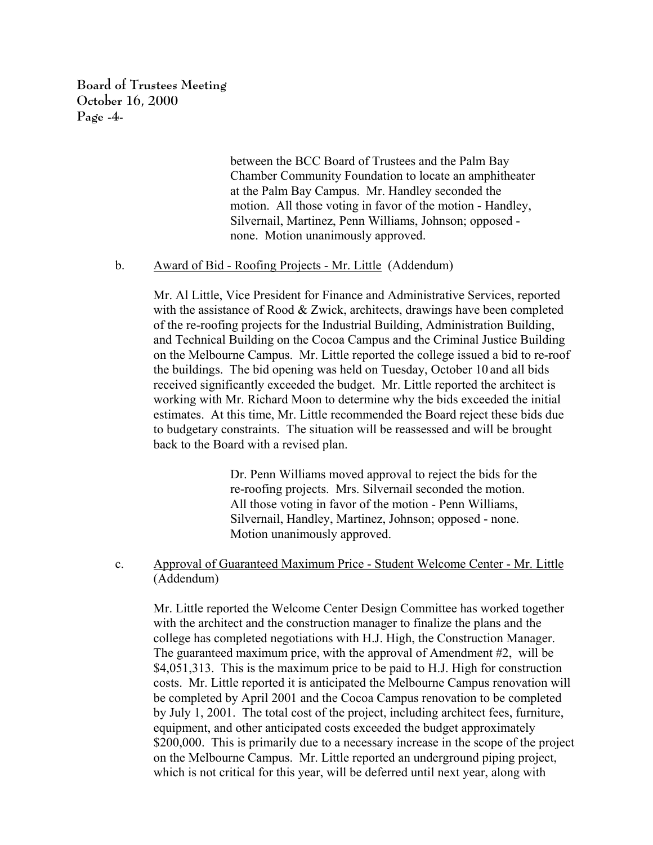**Board of Trustees Meeting October 16, 2000 Page -4-**

> between the BCC Board of Trustees and the Palm Bay Chamber Community Foundation to locate an amphitheater at the Palm Bay Campus. Mr. Handley seconded the motion. All those voting in favor of the motion - Handley, Silvernail, Martinez, Penn Williams, Johnson; opposed none. Motion unanimously approved.

#### b. Award of Bid - Roofing Projects - Mr. Little (Addendum)

Mr. Al Little, Vice President for Finance and Administrative Services, reported with the assistance of Rood & Zwick, architects, drawings have been completed of the re-roofing projects for the Industrial Building, Administration Building, and Technical Building on the Cocoa Campus and the Criminal Justice Building on the Melbourne Campus. Mr. Little reported the college issued a bid to re-roof the buildings. The bid opening was held on Tuesday, October 10 and all bids received significantly exceeded the budget. Mr. Little reported the architect is working with Mr. Richard Moon to determine why the bids exceeded the initial estimates. At this time, Mr. Little recommended the Board reject these bids due to budgetary constraints. The situation will be reassessed and will be brought back to the Board with a revised plan.

> Dr. Penn Williams moved approval to reject the bids for the re-roofing projects. Mrs. Silvernail seconded the motion. All those voting in favor of the motion - Penn Williams, Silvernail, Handley, Martinez, Johnson; opposed - none. Motion unanimously approved.

c. Approval of Guaranteed Maximum Price - Student Welcome Center - Mr. Little (Addendum)

Mr. Little reported the Welcome Center Design Committee has worked together with the architect and the construction manager to finalize the plans and the college has completed negotiations with H.J. High, the Construction Manager. The guaranteed maximum price, with the approval of Amendment #2, will be \$4,051,313. This is the maximum price to be paid to H.J. High for construction costs. Mr. Little reported it is anticipated the Melbourne Campus renovation will be completed by April 2001 and the Cocoa Campus renovation to be completed by July 1, 2001. The total cost of the project, including architect fees, furniture, equipment, and other anticipated costs exceeded the budget approximately \$200,000. This is primarily due to a necessary increase in the scope of the project on the Melbourne Campus. Mr. Little reported an underground piping project, which is not critical for this year, will be deferred until next year, along with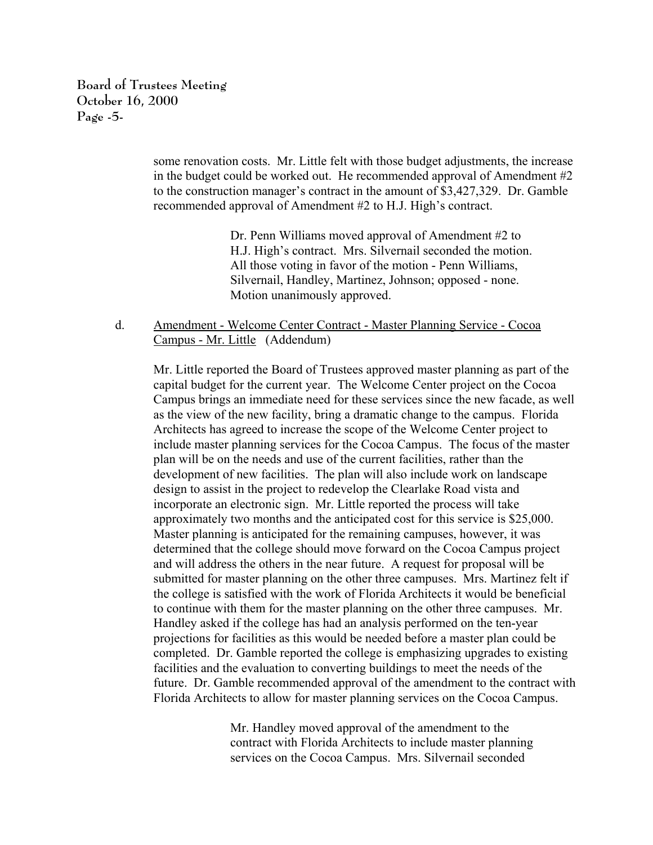**Board of Trustees Meeting October 16, 2000 Page -5-**

> some renovation costs. Mr. Little felt with those budget adjustments, the increase in the budget could be worked out. He recommended approval of Amendment #2 to the construction manager's contract in the amount of \$3,427,329. Dr. Gamble recommended approval of Amendment #2 to H.J. High's contract.

> > Dr. Penn Williams moved approval of Amendment #2 to H.J. High's contract. Mrs. Silvernail seconded the motion. All those voting in favor of the motion - Penn Williams, Silvernail, Handley, Martinez, Johnson; opposed - none. Motion unanimously approved.

d. Amendment - Welcome Center Contract - Master Planning Service - Cocoa Campus - Mr. Little (Addendum)

Mr. Little reported the Board of Trustees approved master planning as part of the capital budget for the current year. The Welcome Center project on the Cocoa Campus brings an immediate need for these services since the new facade, as well as the view of the new facility, bring a dramatic change to the campus. Florida Architects has agreed to increase the scope of the Welcome Center project to include master planning services for the Cocoa Campus. The focus of the master plan will be on the needs and use of the current facilities, rather than the development of new facilities. The plan will also include work on landscape design to assist in the project to redevelop the Clearlake Road vista and incorporate an electronic sign. Mr. Little reported the process will take approximately two months and the anticipated cost for this service is \$25,000. Master planning is anticipated for the remaining campuses, however, it was determined that the college should move forward on the Cocoa Campus project and will address the others in the near future. A request for proposal will be submitted for master planning on the other three campuses. Mrs. Martinez felt if the college is satisfied with the work of Florida Architects it would be beneficial to continue with them for the master planning on the other three campuses. Mr. Handley asked if the college has had an analysis performed on the ten-year projections for facilities as this would be needed before a master plan could be completed. Dr. Gamble reported the college is emphasizing upgrades to existing facilities and the evaluation to converting buildings to meet the needs of the future. Dr. Gamble recommended approval of the amendment to the contract with Florida Architects to allow for master planning services on the Cocoa Campus.

> Mr. Handley moved approval of the amendment to the contract with Florida Architects to include master planning services on the Cocoa Campus. Mrs. Silvernail seconded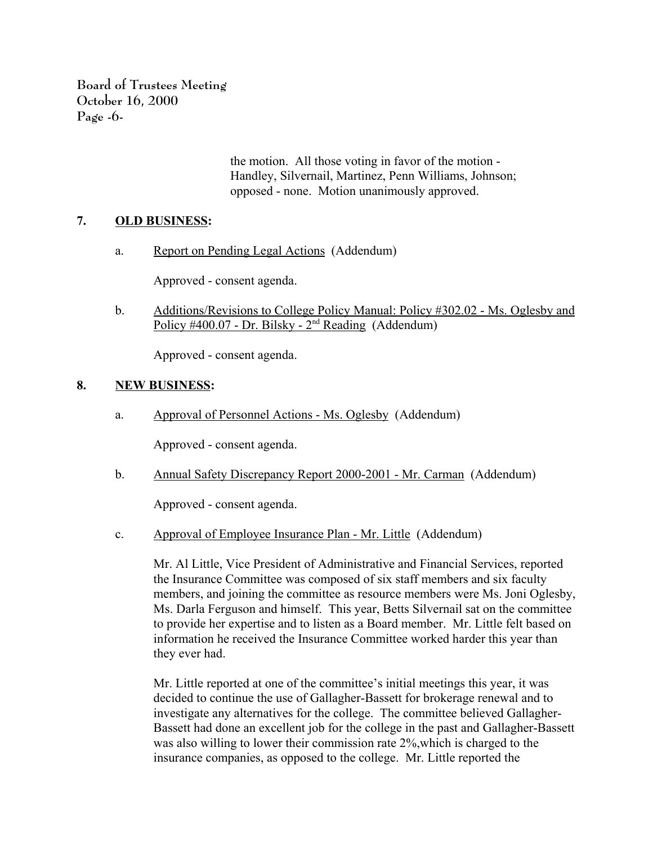**Board of Trustees Meeting October 16, 2000 Page -6-**

> the motion. All those voting in favor of the motion - Handley, Silvernail, Martinez, Penn Williams, Johnson; opposed - none. Motion unanimously approved.

# **7. OLD BUSINESS:**

a. Report on Pending Legal Actions (Addendum)

Approved - consent agenda.

b. Additions/Revisions to College Policy Manual: Policy #302.02 - Ms. Oglesby and Policy #400.07 - Dr. Bilsky -  $2<sup>nd</sup>$  Reading (Addendum)

Approved - consent agenda.

# **8. NEW BUSINESS:**

a. Approval of Personnel Actions - Ms. Oglesby (Addendum)

Approved - consent agenda.

b. Annual Safety Discrepancy Report 2000-2001 - Mr. Carman (Addendum)

Approved - consent agenda.

c. Approval of Employee Insurance Plan - Mr. Little (Addendum)

Mr. Al Little, Vice President of Administrative and Financial Services, reported the Insurance Committee was composed of six staff members and six faculty members, and joining the committee as resource members were Ms. Joni Oglesby, Ms. Darla Ferguson and himself. This year, Betts Silvernail sat on the committee to provide her expertise and to listen as a Board member. Mr. Little felt based on information he received the Insurance Committee worked harder this year than they ever had.

Mr. Little reported at one of the committee's initial meetings this year, it was decided to continue the use of Gallagher-Bassett for brokerage renewal and to investigate any alternatives for the college. The committee believed Gallagher-Bassett had done an excellent job for the college in the past and Gallagher-Bassett was also willing to lower their commission rate 2%,which is charged to the insurance companies, as opposed to the college. Mr. Little reported the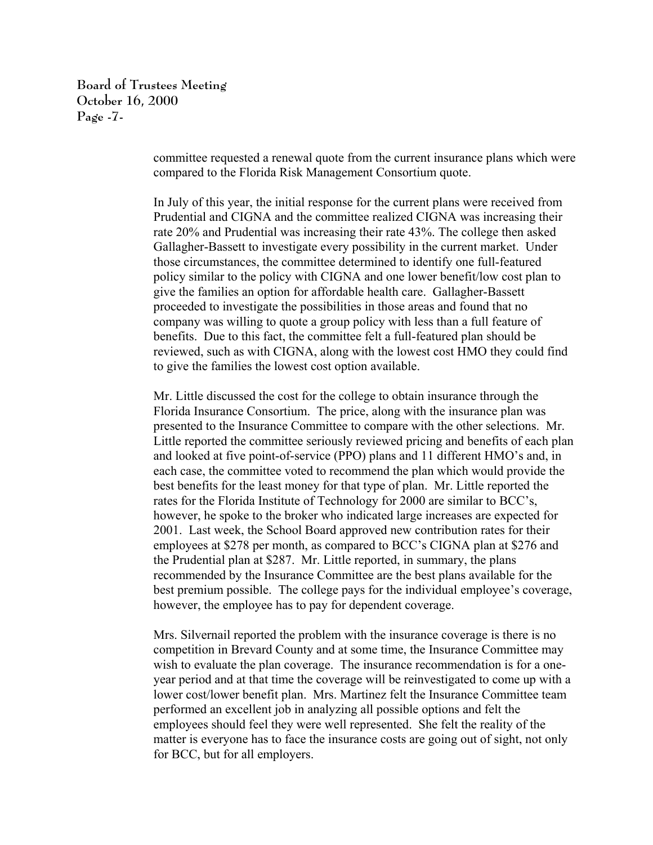**Board of Trustees Meeting October 16, 2000 Page -7-**

> committee requested a renewal quote from the current insurance plans which were compared to the Florida Risk Management Consortium quote.

In July of this year, the initial response for the current plans were received from Prudential and CIGNA and the committee realized CIGNA was increasing their rate 20% and Prudential was increasing their rate 43%. The college then asked Gallagher-Bassett to investigate every possibility in the current market. Under those circumstances, the committee determined to identify one full-featured policy similar to the policy with CIGNA and one lower benefit/low cost plan to give the families an option for affordable health care. Gallagher-Bassett proceeded to investigate the possibilities in those areas and found that no company was willing to quote a group policy with less than a full feature of benefits. Due to this fact, the committee felt a full-featured plan should be reviewed, such as with CIGNA, along with the lowest cost HMO they could find to give the families the lowest cost option available.

Mr. Little discussed the cost for the college to obtain insurance through the Florida Insurance Consortium. The price, along with the insurance plan was presented to the Insurance Committee to compare with the other selections. Mr. Little reported the committee seriously reviewed pricing and benefits of each plan and looked at five point-of-service (PPO) plans and 11 different HMO's and, in each case, the committee voted to recommend the plan which would provide the best benefits for the least money for that type of plan. Mr. Little reported the rates for the Florida Institute of Technology for 2000 are similar to BCC's, however, he spoke to the broker who indicated large increases are expected for 2001. Last week, the School Board approved new contribution rates for their employees at \$278 per month, as compared to BCC's CIGNA plan at \$276 and the Prudential plan at \$287. Mr. Little reported, in summary, the plans recommended by the Insurance Committee are the best plans available for the best premium possible. The college pays for the individual employee's coverage, however, the employee has to pay for dependent coverage.

Mrs. Silvernail reported the problem with the insurance coverage is there is no competition in Brevard County and at some time, the Insurance Committee may wish to evaluate the plan coverage. The insurance recommendation is for a oneyear period and at that time the coverage will be reinvestigated to come up with a lower cost/lower benefit plan. Mrs. Martinez felt the Insurance Committee team performed an excellent job in analyzing all possible options and felt the employees should feel they were well represented. She felt the reality of the matter is everyone has to face the insurance costs are going out of sight, not only for BCC, but for all employers.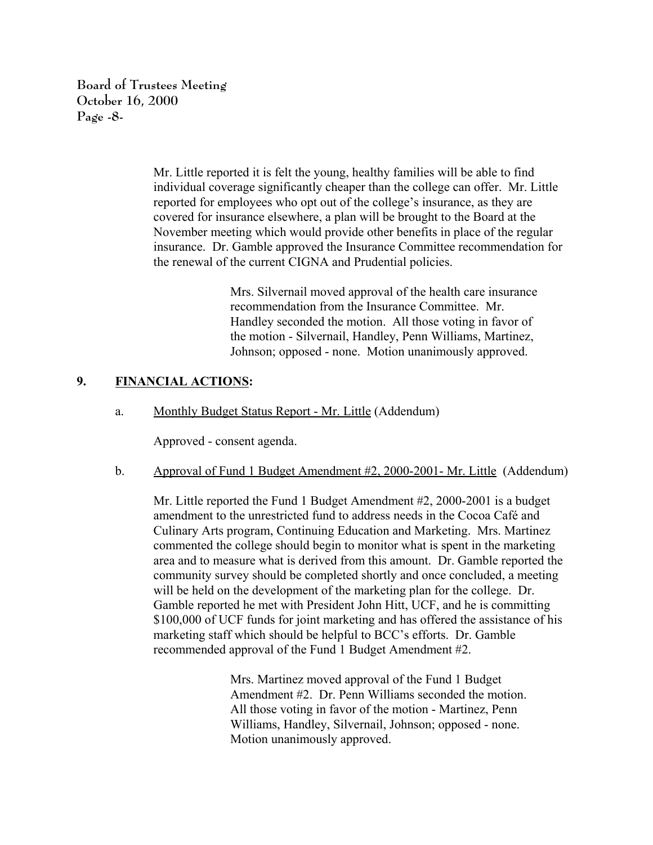**Board of Trustees Meeting October 16, 2000 Page -8-**

> Mr. Little reported it is felt the young, healthy families will be able to find individual coverage significantly cheaper than the college can offer. Mr. Little reported for employees who opt out of the college's insurance, as they are covered for insurance elsewhere, a plan will be brought to the Board at the November meeting which would provide other benefits in place of the regular insurance. Dr. Gamble approved the Insurance Committee recommendation for the renewal of the current CIGNA and Prudential policies.

> > Mrs. Silvernail moved approval of the health care insurance recommendation from the Insurance Committee. Mr. Handley seconded the motion. All those voting in favor of the motion - Silvernail, Handley, Penn Williams, Martinez, Johnson; opposed - none. Motion unanimously approved.

# **9. FINANCIAL ACTIONS:**

a. Monthly Budget Status Report - Mr. Little (Addendum)

Approved - consent agenda.

b. Approval of Fund 1 Budget Amendment #2, 2000-2001- Mr. Little (Addendum)

Mr. Little reported the Fund 1 Budget Amendment #2, 2000-2001 is a budget amendment to the unrestricted fund to address needs in the Cocoa Café and Culinary Arts program, Continuing Education and Marketing. Mrs. Martinez commented the college should begin to monitor what is spent in the marketing area and to measure what is derived from this amount. Dr. Gamble reported the community survey should be completed shortly and once concluded, a meeting will be held on the development of the marketing plan for the college. Dr. Gamble reported he met with President John Hitt, UCF, and he is committing \$100,000 of UCF funds for joint marketing and has offered the assistance of his marketing staff which should be helpful to BCC's efforts. Dr. Gamble recommended approval of the Fund 1 Budget Amendment #2.

> Mrs. Martinez moved approval of the Fund 1 Budget Amendment #2. Dr. Penn Williams seconded the motion. All those voting in favor of the motion - Martinez, Penn Williams, Handley, Silvernail, Johnson; opposed - none. Motion unanimously approved.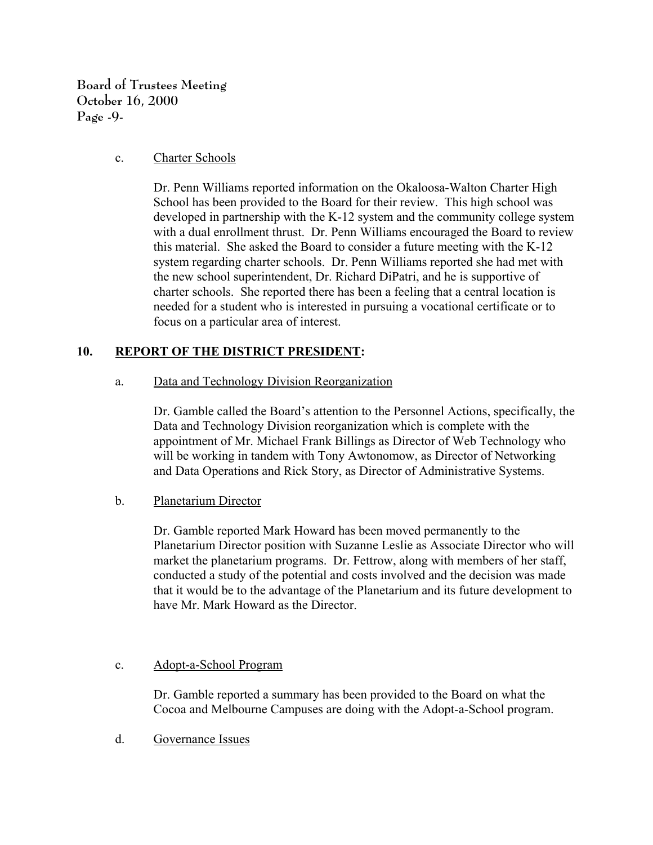**Board of Trustees Meeting October 16, 2000 Page -9-**

#### c. Charter Schools

Dr. Penn Williams reported information on the Okaloosa-Walton Charter High School has been provided to the Board for their review. This high school was developed in partnership with the K-12 system and the community college system with a dual enrollment thrust. Dr. Penn Williams encouraged the Board to review this material. She asked the Board to consider a future meeting with the K-12 system regarding charter schools. Dr. Penn Williams reported she had met with the new school superintendent, Dr. Richard DiPatri, and he is supportive of charter schools. She reported there has been a feeling that a central location is needed for a student who is interested in pursuing a vocational certificate or to focus on a particular area of interest.

# **10. REPORT OF THE DISTRICT PRESIDENT:**

a. Data and Technology Division Reorganization

Dr. Gamble called the Board's attention to the Personnel Actions, specifically, the Data and Technology Division reorganization which is complete with the appointment of Mr. Michael Frank Billings as Director of Web Technology who will be working in tandem with Tony Awtonomow, as Director of Networking and Data Operations and Rick Story, as Director of Administrative Systems.

b. Planetarium Director

Dr. Gamble reported Mark Howard has been moved permanently to the Planetarium Director position with Suzanne Leslie as Associate Director who will market the planetarium programs. Dr. Fettrow, along with members of her staff, conducted a study of the potential and costs involved and the decision was made that it would be to the advantage of the Planetarium and its future development to have Mr. Mark Howard as the Director.

# c. Adopt-a-School Program

Dr. Gamble reported a summary has been provided to the Board on what the Cocoa and Melbourne Campuses are doing with the Adopt-a-School program.

d. Governance Issues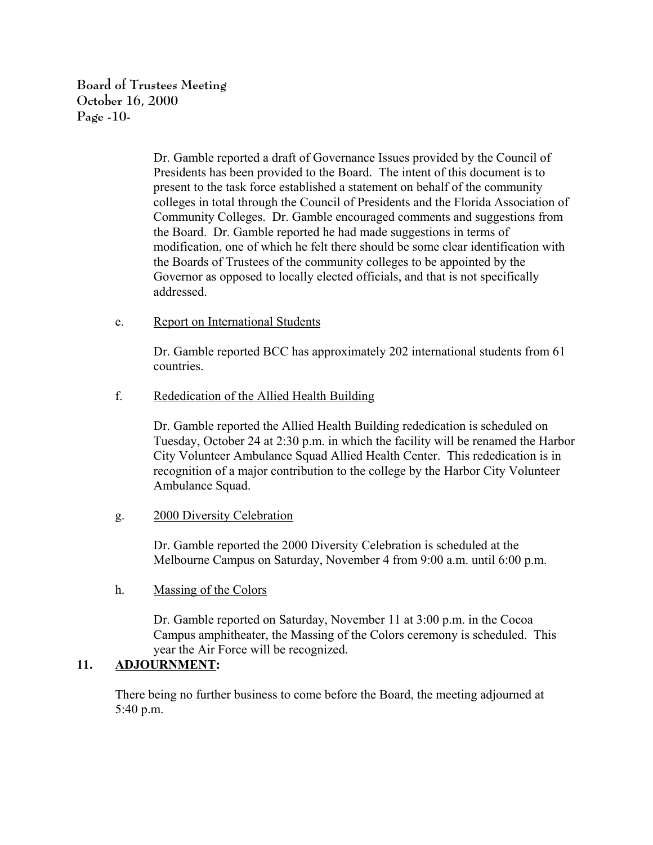**Board of Trustees Meeting October 16, 2000 Page -10-**

> Dr. Gamble reported a draft of Governance Issues provided by the Council of Presidents has been provided to the Board. The intent of this document is to present to the task force established a statement on behalf of the community colleges in total through the Council of Presidents and the Florida Association of Community Colleges. Dr. Gamble encouraged comments and suggestions from the Board. Dr. Gamble reported he had made suggestions in terms of modification, one of which he felt there should be some clear identification with the Boards of Trustees of the community colleges to be appointed by the Governor as opposed to locally elected officials, and that is not specifically addressed.

# e. Report on International Students

Dr. Gamble reported BCC has approximately 202 international students from 61 countries.

# f. Rededication of the Allied Health Building

Dr. Gamble reported the Allied Health Building rededication is scheduled on Tuesday, October 24 at 2:30 p.m. in which the facility will be renamed the Harbor City Volunteer Ambulance Squad Allied Health Center. This rededication is in recognition of a major contribution to the college by the Harbor City Volunteer Ambulance Squad.

#### g. 2000 Diversity Celebration

Dr. Gamble reported the 2000 Diversity Celebration is scheduled at the Melbourne Campus on Saturday, November 4 from 9:00 a.m. until 6:00 p.m.

# h. Massing of the Colors

Dr. Gamble reported on Saturday, November 11 at 3:00 p.m. in the Cocoa Campus amphitheater, the Massing of the Colors ceremony is scheduled. This year the Air Force will be recognized.

# **11. ADJOURNMENT:**

There being no further business to come before the Board, the meeting adjourned at 5:40 p.m.